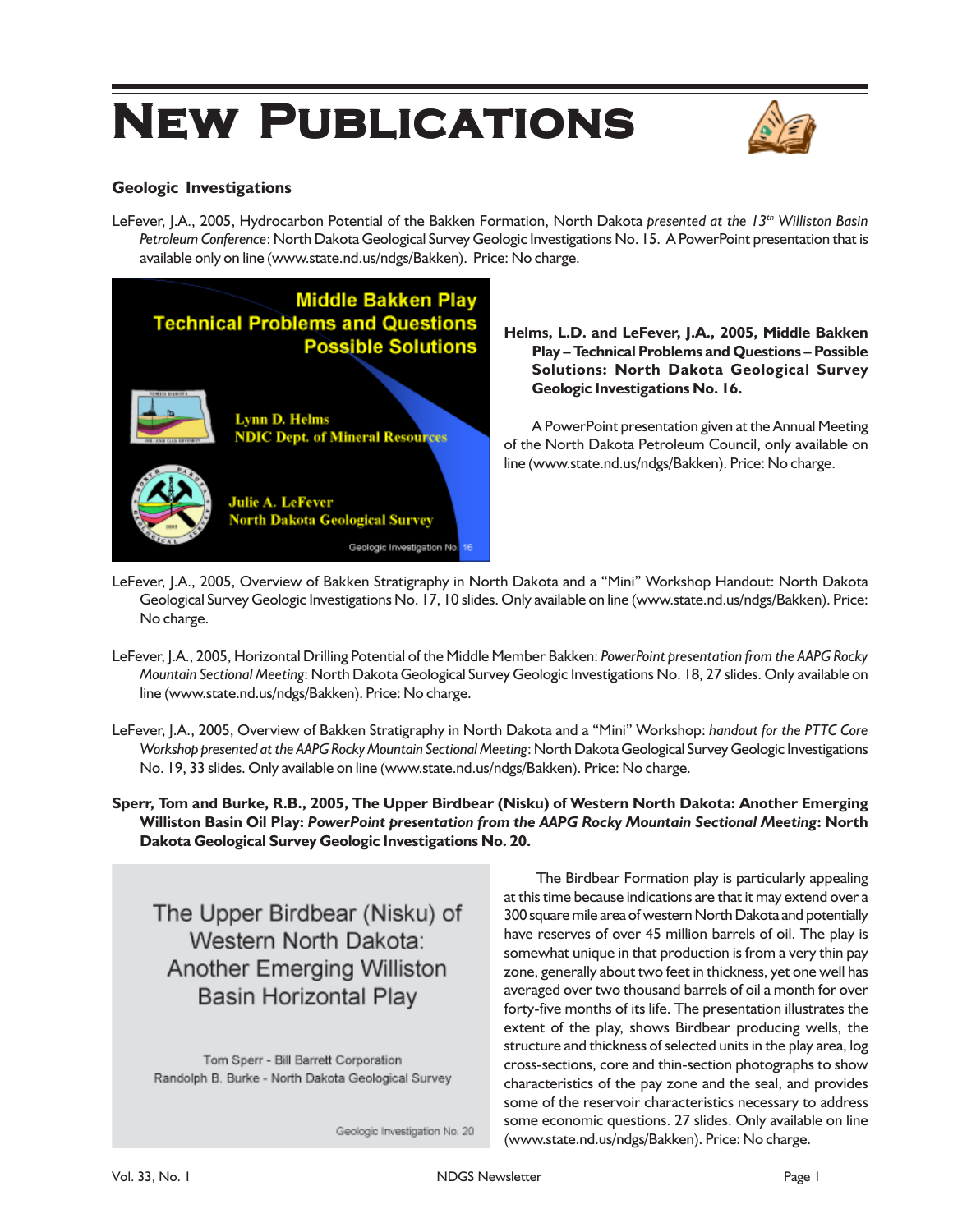# **NEW PUBLICATIONS**



# **Geologic Investigations**

LeFever, J.A., 2005, Hydrocarbon Potential of the Bakken Formation, North Dakota *presented at the 13th Williston Basin Petroleum Conference*: North Dakota Geological Survey Geologic Investigations No. 15. A PowerPoint presentation that is available only on line (www.state.nd.us/ndgs/Bakken). Price: No charge.



**Helms, L.D. and LeFever, J.A., 2005, Middle Bakken Play – Technical Problems and Questions – Possible Solutions: North Dakota Geological Survey Geologic Investigations No. 16.**

A PowerPoint presentation given at the Annual Meeting of the North Dakota Petroleum Council, only available on line (www.state.nd.us/ndgs/Bakken). Price: No charge.

- LeFever, J.A., 2005, Overview of Bakken Stratigraphy in North Dakota and a "Mini" Workshop Handout: North Dakota Geological Survey Geologic Investigations No. 17, 10 slides. Only available on line (www.state.nd.us/ndgs/Bakken). Price: No charge.
- LeFever, J.A., 2005, Horizontal Drilling Potential of the Middle Member Bakken: *PowerPoint presentation from the AAPG Rocky Mountain Sectional Meeting*: North Dakota Geological Survey Geologic Investigations No. 18, 27 slides. Only available on line (www.state.nd.us/ndgs/Bakken). Price: No charge.
- LeFever, J.A., 2005, Overview of Bakken Stratigraphy in North Dakota and a "Mini" Workshop: *handout for the PTTC Core Workshop presented at the AAPG Rocky Mountain Sectional Meeting*: North Dakota Geological Survey Geologic Investigations No. 19, 33 slides. Only available on line (www.state.nd.us/ndgs/Bakken). Price: No charge.
- **Sperr, Tom and Burke, R.B., 2005, The Upper Birdbear (Nisku) of Western North Dakota: Another Emerging Williston Basin Oil Play:** *PowerPoint presentation from the AAPG Rocky Mountain Sectional Meeting***: North Dakota Geological Survey Geologic Investigations No. 20.**

The Upper Birdbear (Nisku) of Western North Dakota: **Another Emerging Williston Basin Horizontal Play** 

Tom Sperr - Bill Barrett Corporation Randolph B. Burke - North Dakota Geological Survey

Geologic Investigation No. 20

 The Birdbear Formation play is particularly appealing at this time because indications are that it may extend over a 300 square mile area of western North Dakota and potentially have reserves of over 45 million barrels of oil. The play is somewhat unique in that production is from a very thin pay zone, generally about two feet in thickness, yet one well has averaged over two thousand barrels of oil a month for over forty-five months of its life. The presentation illustrates the extent of the play, shows Birdbear producing wells, the structure and thickness of selected units in the play area, log cross-sections, core and thin-section photographs to show characteristics of the pay zone and the seal, and provides some of the reservoir characteristics necessary to address some economic questions. 27 slides. Only available on line (www.state.nd.us/ndgs/Bakken). Price: No charge.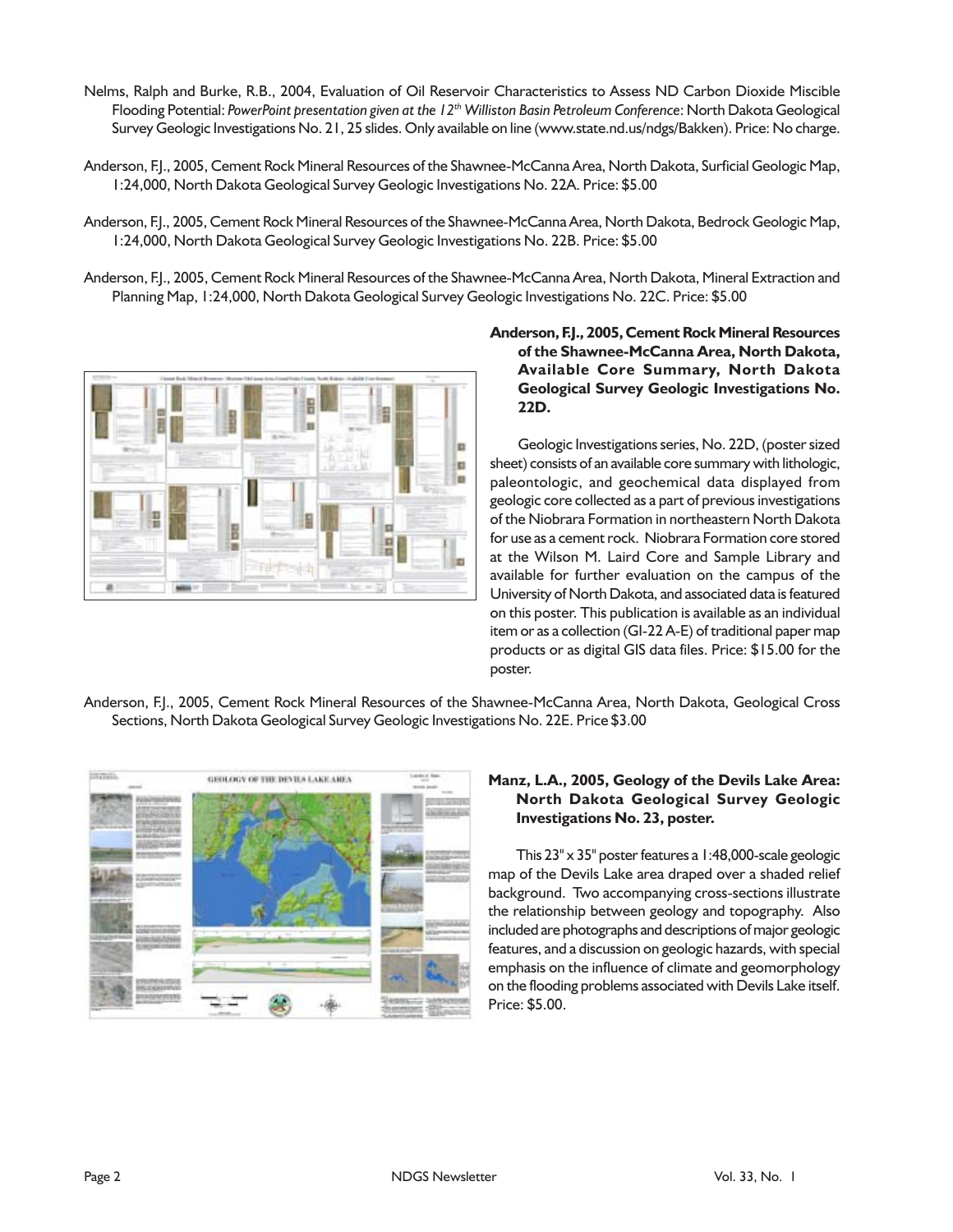- Nelms, Ralph and Burke, R.B., 2004, Evaluation of Oil Reservoir Characteristics to Assess ND Carbon Dioxide Miscible Flooding Potential: *PowerPoint presentation given at the 12th Williston Basin Petroleum Conference*: North Dakota Geological Survey Geologic Investigations No. 21, 25 slides. Only available on line (www.state.nd.us/ndgs/Bakken). Price: No charge.
- Anderson, F.J., 2005, Cement Rock Mineral Resources of the Shawnee-McCanna Area, North Dakota, Surficial Geologic Map, 1:24,000, North Dakota Geological Survey Geologic Investigations No. 22A. Price: \$5.00
- Anderson, F.J., 2005, Cement Rock Mineral Resources of the Shawnee-McCanna Area, North Dakota, Bedrock Geologic Map, 1:24,000, North Dakota Geological Survey Geologic Investigations No. 22B. Price: \$5.00
- Anderson, F.J., 2005, Cement Rock Mineral Resources of the Shawnee-McCanna Area, North Dakota, Mineral Extraction and Planning Map, 1:24,000, North Dakota Geological Survey Geologic Investigations No. 22C. Price: \$5.00



# **Anderson, F.J., 2005, Cement Rock Mineral Resources of the Shawnee-McCanna Area, North Dakota, Available Core Summary, North Dakota Geological Survey Geologic Investigations No. 22D.**

Geologic Investigations series, No. 22D, (poster sized sheet) consists of an available core summary with lithologic, paleontologic, and geochemical data displayed from geologic core collected as a part of previous investigations of the Niobrara Formation in northeastern North Dakota for use as a cement rock. Niobrara Formation core stored at the Wilson M. Laird Core and Sample Library and available for further evaluation on the campus of the University of North Dakota, and associated data is featured on this poster. This publication is available as an individual item or as a collection (GI-22 A-E) of traditional paper map products or as digital GIS data files. Price: \$15.00 for the poster.

Anderson, F.J., 2005, Cement Rock Mineral Resources of the Shawnee-McCanna Area, North Dakota, Geological Cross Sections, North Dakota Geological Survey Geologic Investigations No. 22E. Price \$3.00



### **Manz, L.A., 2005, Geology of the Devils Lake Area: North Dakota Geological Survey Geologic Investigations No. 23, poster.**

This 23" x 35" poster features a 1:48,000-scale geologic map of the Devils Lake area draped over a shaded relief background. Two accompanying cross-sections illustrate the relationship between geology and topography. Also included are photographs and descriptions of major geologic features, and a discussion on geologic hazards, with special emphasis on the influence of climate and geomorphology on the flooding problems associated with Devils Lake itself. Price: \$5.00.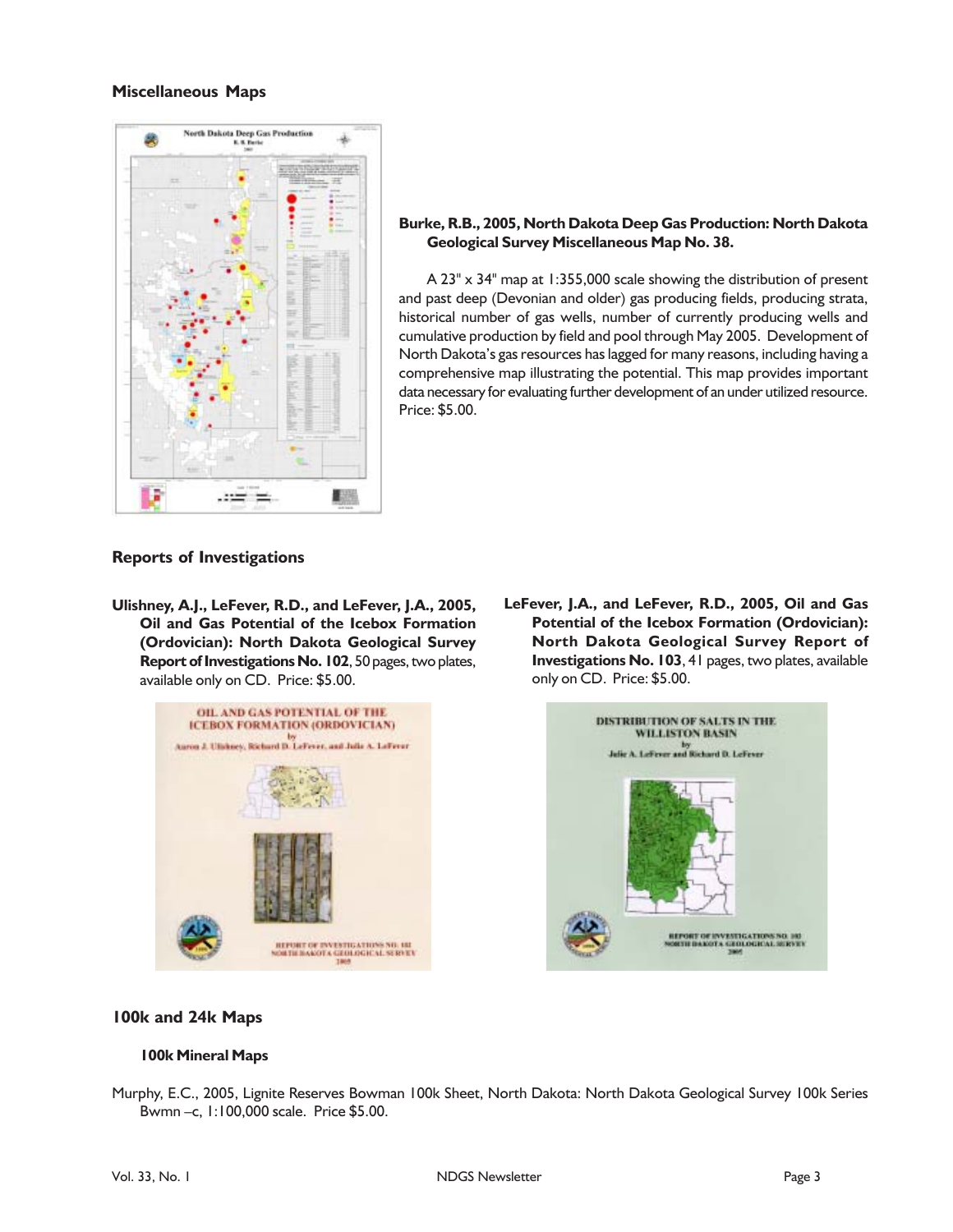#### **Miscellaneous Maps**



#### **Burke, R.B., 2005, North Dakota Deep Gas Production: North Dakota Geological Survey Miscellaneous Map No. 38.**

A 23" x 34" map at 1:355,000 scale showing the distribution of present and past deep (Devonian and older) gas producing fields, producing strata, historical number of gas wells, number of currently producing wells and cumulative production by field and pool through May 2005. Development of North Dakota's gas resources has lagged for many reasons, including having a comprehensive map illustrating the potential. This map provides important data necessary for evaluating further development of an under utilized resource. Price: \$5.00.

#### **Reports of Investigations**

**Ulishney, A.J., LeFever, R.D., and LeFever, J.A., 2005, Oil and Gas Potential of the Icebox Formation (Ordovician): North Dakota Geological Survey Report of Investigations No. 102**, 50 pages, two plates, available only on CD. Price: \$5.00.



**LeFever, J.A., and LeFever, R.D., 2005, Oil and Gas Potential of the Icebox Formation (Ordovician): North Dakota Geological Survey Report of Investigations No. 103**, 41 pages, two plates, available only on CD. Price: \$5.00.



#### **100k and 24k Maps**

#### **100k Mineral Maps**

Murphy, E.C., 2005, Lignite Reserves Bowman 100k Sheet, North Dakota: North Dakota Geological Survey 100k Series Bwmn –c, 1:100,000 scale. Price \$5.00.